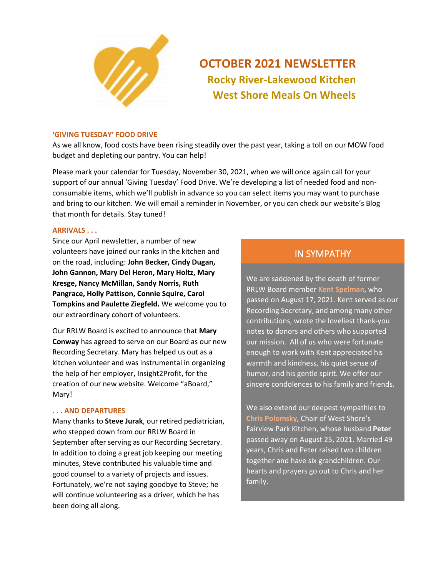

# **OCTOBER 2021 NEWSLETTER Rocky River-Lakewood Kitchen West Shore Meals On Wheels**

### **'GIVING TUESDAY' FOOD DRIVE**

As we all know, food costs have been rising steadily over the past year, taking a toll on our MOW food budget and depleting our pantry. You can help!

Please mark your calendar for Tuesday, November 30, 2021, when we will once again call for your support of our annual 'Giving Tuesday' Food Drive. We're developing a list of needed food and nonconsumable items, which we'll publish in advance so you can select items you may want to purchase and bring to our kitchen. We will email a reminder in November, or you can check our website's Blog that month for details. Stay tuned!

### **ARRIVALS . . .**

Since our April newsletter, a number of new volunteers have joined our ranks in the kitchen and on the road, including: **John Becker, Cindy Dugan, John Gannon, Mary Del Heron, Mary Holtz, Mary Kresge, Nancy McMillan, Sandy Norris, Ruth Pangrace, Holly Pattison, Connie Squire, Carol Tompkins and Paulette Ziegfeld.** We welcome you to our extraordinary cohort of volunteers.

Our RRLW Board is excited to announce that **Mary Conway** has agreed to serve on our Board as our new Recording Secretary. Mary has helped us out as a kitchen volunteer and was instrumental in organizing the help of her employer, Insight2Profit, for the creation of our new website. Welcome "aBoard," Mary!

### **. . . AND DEPARTURES**

Many thanks to **Steve Jurak**, our retired pediatrician, who stepped down from our RRLW Board in September after serving as our Recording Secretary. In addition to doing a great job keeping our meeting minutes, Steve contributed his valuable time and good counsel to a variety of projects and issues. Fortunately, we're not saying goodbye to Steve; he will continue volunteering as a driver, which he has been doing all along.

# IN SYMPATHY

We are saddened by the death of former RRLW Board member **Kent Spelman**, who passed on August 17, 2021. Kent served as our Recording Secretary, and among many other contributions, wrote the loveliest thank-you notes to donors and others who supported our mission. All of us who were fortunate enough to work with Kent appreciated his warmth and kindness, his quiet sense of humor, and his gentle spirit. We offer our sincere condolences to his family and friends.

We also extend our deepest sympathies to **Chris Polomsky**, Chair of West Shore's Fairview Park Kitchen, whose husband **Peter** passed away on August 25, 2021. Married 49 years, Chris and Peter raised two children together and have six grandchildren. Our hearts and prayers go out to Chris and her family.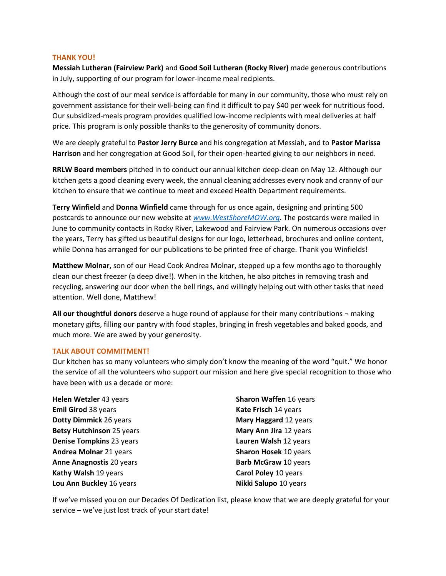### **THANK YOU!**

**Messiah Lutheran (Fairview Park)** and **Good Soil Lutheran (Rocky River)** made generous contributions in July, supporting of our program for lower-income meal recipients.

Although the cost of our meal service is affordable for many in our community, those who must rely on government assistance for their well-being can find it difficult to pay \$40 per week for nutritious food. Our subsidized-meals program provides qualified low-income recipients with meal deliveries at half price. This program is only possible thanks to the generosity of community donors.

We are deeply grateful to **Pastor Jerry Burce** and his congregation at Messiah, and to **Pastor Marissa Harrison** and her congregation at Good Soil, for their open-hearted giving to our neighbors in need.

**RRLW Board members** pitched in to conduct our annual kitchen deep-clean on May 12. Although our kitchen gets a good cleaning every week, the annual cleaning addresses every nook and cranny of our kitchen to ensure that we continue to meet and exceed Health Department requirements.

**Terry Winfield** and **Donna Winfield** came through for us once again, designing and printing 500 postcards to announce our new website at *<www.WestShoreMOW.org>*. The postcards were mailed in June to community contacts in Rocky River, Lakewood and Fairview Park. On numerous occasions over the years, Terry has gifted us beautiful designs for our logo, letterhead, brochures and online content, while Donna has arranged for our publications to be printed free of charge. Thank you Winfields!

**Matthew Molnar,** son of our Head Cook Andrea Molnar, stepped up a few months ago to thoroughly clean our chest freezer (a deep dive!). When in the kitchen, he also pitches in removing trash and recycling, answering our door when the bell rings, and willingly helping out with other tasks that need attention. Well done, Matthew!

**All our thoughtful donors** deserve a huge round of applause for their many contributions ¬ making monetary gifts, filling our pantry with food staples, bringing in fresh vegetables and baked goods, and much more. We are awed by your generosity.

## **TALK ABOUT COMMITMENT!**

Our kitchen has so many volunteers who simply don't know the meaning of the word "quit." We honor the service of all the volunteers who support our mission and here give special recognition to those who have been with us a decade or more:

| Helen Wetzler 43 years           |
|----------------------------------|
| <b>Emil Girod 38 years</b>       |
| Dotty Dimmick 26 years           |
| <b>Betsy Hutchinson 25 years</b> |
| Denise Tompkins 23 years         |
| <b>Andrea Molnar 21 years</b>    |
| <b>Anne Anagnostis 20 years</b>  |
| Kathy Walsh 19 years             |
| Lou Ann Buckley 16 years         |

**Sharon Waffen** 16 years **Kate Frisch** 14 years **Mary Haggard** 12 years **Mary Ann Jira** 12 years **Lauren Walsh** 12 years **Sharon Hosek** 10 years **Barb McGraw** 10 years **Carol Poley** 10 years **Nikki Salupo** 10 years

If we've missed you on our Decades Of Dedication list, please know that we are deeply grateful for your service – we've just lost track of your start date!